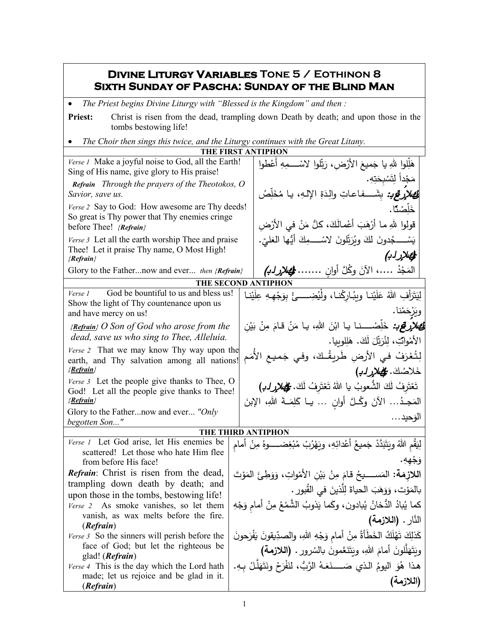## **Divine Liturgy Variables Tone 5 / Eothinon 8 Sixth Sunday of Pascha: Sunday of the Blind Man**

• *The Priest begins Divine Liturgy with "Blessed is the Kingdom" and then :*

Priest: Christ is risen from the dead, trampling down Death by death; and upon those in the tombs bestowing life!

• *The Choir then sings this twice, and the Liturgy continues with the Great Litany.*

| THE FIRST ANTIPHON                                                                                                        |                    |                                                                                                |  |  |  |  |
|---------------------------------------------------------------------------------------------------------------------------|--------------------|------------------------------------------------------------------------------------------------|--|--|--|--|
| Verse 1 Make a joyful noise to God, all the Earth!<br>Sing of His name, give glory to His praise!                         |                    | هَلِّلوا للهِ يا جَميعَ الأرْضِ، رَبِّلوا لاسْــــمِهِ أَعْطوا                                 |  |  |  |  |
| Refrain Through the prayers of the Theotokos, O<br>Savior, save us.                                                       |                    | مَجْداً لِتَسْبِحَتِهِ.<br><b>لِحَطْرَرَكِي.</b> بِشَـــفاعاتِ والِدَةِ الإلـهِ، يـا مُخَلِّصُ |  |  |  |  |
| Verse 2 Say to God: How awesome are Thy deeds!<br>So great is Thy power that Thy enemies cringe                           |                    | خَلَّصْنًا.<br>قولوا للهِ ما أَرْهَبَ أَعْمالَكَ، كلُّ مَنْ في الأَرْضِ                        |  |  |  |  |
| before Thee! {Refrain}<br>Verse 3 Let all the earth worship Thee and praise<br>Thee! Let it praise Thy name, O Most High! |                    | يَسْــــجُدونَ لَكَ ويُرَتِّلونَ لاسْـــــمِكَ أَيُّها الْعَليِّ.                              |  |  |  |  |
| ${Refrain}$<br>Glory to the Fathernow and ever then {Refrain}                                                             |                    | الم الإلزابي<br>المَجْدُ …، الآنَ وكُلَّ أُوانٍ<br>ومصلار له.)                                 |  |  |  |  |
|                                                                                                                           |                    | THE SECOND ANTIPHON                                                                            |  |  |  |  |
| God be bountiful to us and bless us!<br>Verse 1                                                                           |                    |                                                                                                |  |  |  |  |
| Show the light of Thy countenance upon us<br>and have mercy on us!                                                        |                    | لِيَتَرَأْفِ اللهُ عَلَيْنا ويبُارِكْنا، ولْيُضِـــئْ بِوَجْهِهِ عِلَيْنا<br>ويَرْحَمْنا.      |  |  |  |  |
| $\{Refrain\}$ O Son of God who arose from the                                                                             |                    | <b>لِحَصْلاَرِكِي :</b> خَلِّصْــــنا يـا ابْنَ اللهِ، يـا مَنْ قـامَ مِنْ بَيْنِ              |  |  |  |  |
| dead, save us who sing to Thee, Alleluia.                                                                                 |                    | الأَمْوابِّ، لِنُرَبِّلَ لَكَ. هَلِلوبِيا.                                                     |  |  |  |  |
| Verse 2 That we may know Thy way upon the<br>earth, and Thy salvation among all nations!<br><u>{Refrain}</u>              |                    | لِتُعْرَفْ في الأرضِ طَرِيقُكَ، وفي جَميع الأمَم<br>خَلاصُكَ. <del>وَلِ</del> هَلارِ لـدِ)     |  |  |  |  |
| Verse 3 Let the people give thanks to Thee, O<br>God! Let all the people give thanks to Thee!<br>{Refrain}                |                    | تَعْتَرِفُ لَكَ الشُّعوبُ يا اللهُ تَعْتَرِفُ لَكَ. كُلِّصْلا ٍرلـُـ لِمَ                      |  |  |  |  |
|                                                                                                                           |                    | المَجِدُ الآنَ وكُلَّ أُوانٍ  يـا كَلِمَـةَ اللهِ، الإِبنَ                                     |  |  |  |  |
| Glory to the Fathernow and ever "Only<br>begotten Son"                                                                    |                    | الوَحيد                                                                                        |  |  |  |  |
|                                                                                                                           | THE THIRD ANTIPHON |                                                                                                |  |  |  |  |
| Verse 1 Let God arise, let His enemies be                                                                                 |                    | لِيَقُم اللَّهُ وَيَتَبَدَّدْ جَميعُ أعْدائِهِ، ويَهْرُبْ مُبْغِضـــــوهُ مِنْ أمام            |  |  |  |  |
| scattered! Let those who hate Him flee<br>from before His face!                                                           |                    | وَجْهِهِ.                                                                                      |  |  |  |  |
| Refrain: Christ is risen from the dead,                                                                                   |                    | اللازمَة: المَســــيحُ قامَ مِنْ بَيْنِ الأَمْواتِ، وَوَطِئَ المَوْتَ                          |  |  |  |  |
| trampling down death by death; and<br>upon those in the tombs, bestowing life!                                            |                    | بالمَوْت، وَوَهَبَ الحياةَ لِلَّذينَ في القُبورِ .                                             |  |  |  |  |
| Verse 2 As smoke vanishes, so let them                                                                                    |                    | كما يُبادُ الدُّخانُ يُبادون، وكَما يَذوبُ الشَّمْعُ مِنْ أمام وَجْهِ                          |  |  |  |  |
| vanish, as wax melts before the fire.<br>(Refrain)                                                                        |                    | النَّارِ . (اللازمة)                                                                           |  |  |  |  |
| <i>Verse</i> 3 So the sinners will perish before the                                                                      |                    | كَذلِكَ تَهْلَكُ الخَطَأَةُ مِنْ أمام وَجْهِ اللهِ، والصدِّيقونَ يَفْرَحونَ                    |  |  |  |  |
| face of God; but let the righteous be<br>glad! ( <i>Refrain</i> )                                                         |                    | ويَتَهَلَّلُونَ أَمَامَ اللهِ، ويَتَنَعَّمونَ بالسُرور . (اللازمة)                             |  |  |  |  |
| Verse 4 This is the day which the Lord hath<br>made; let us rejoice and be glad in it.                                    |                    | هذا هُوَ اليومُ الذي صَــــنَعَـهُ الرَّبُّ، لَنَفْرَحْ ونَتَهَلَّـلْ بِـهِ.<br>(اللازمة)      |  |  |  |  |
| (Refrain)                                                                                                                 |                    |                                                                                                |  |  |  |  |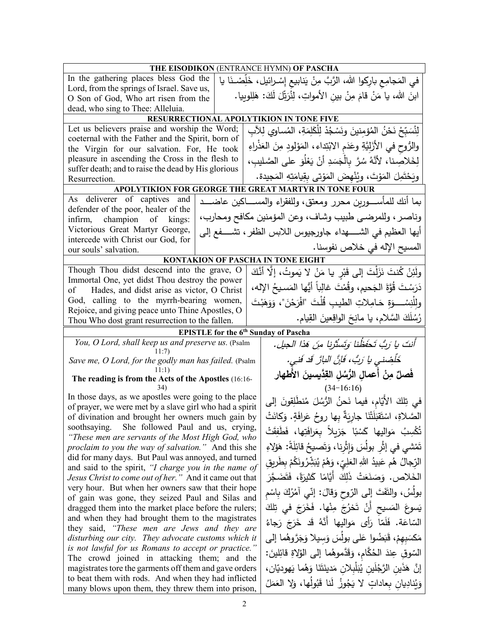| THE EISODIKON (ENTRANCE HYMN) OF PASCHA                                                                      |                                                |                                                                             |  |  |  |
|--------------------------------------------------------------------------------------------------------------|------------------------------------------------|-----------------------------------------------------------------------------|--|--|--|
| In the gathering places bless God the                                                                        |                                                | في المَجامِع بارِكوا الله، الرَّبَّ مِنْ يَنابيع إِسْـرائيل، خَلِّصْـنَا يا |  |  |  |
| Lord, from the springs of Israel. Save us,                                                                   |                                                |                                                                             |  |  |  |
| O Son of God, Who art risen from the                                                                         |                                                | ابنَ الله، يا مَنْ قامَ مِنْ بينِ الأمواتِ، لِنُرَيِّلَ لَكَ: هَلِلوبِيا.   |  |  |  |
| dead, who sing to Thee: Alleluia.                                                                            |                                                |                                                                             |  |  |  |
|                                                                                                              |                                                | RESURRECTIONAL APOLYTIKION IN TONE FIVE                                     |  |  |  |
| Let us believers praise and worship the Word;                                                                |                                                | لِنُسَبِّحْ نَحْنُ المُؤمِنينَ ونَسْجُدْ لِلْكَلِمَةِ، المُساوي لِلآبِ      |  |  |  |
| coeternal with the Father and the Spirit, born of                                                            |                                                | والرُّوح في الأَزَليَّةِ وعَدَم الابْتِداء ، المَوْلودِ مِنَ العَذْراءِ     |  |  |  |
| the Virgin for our salvation. For, He took<br>pleasure in ascending the Cross in the flesh to                |                                                |                                                                             |  |  |  |
| suffer death; and to raise the dead by His glorious                                                          |                                                | لِخَلاصِنا، لأَنَّهُ سُرَّ بِالْجَسَدِ أَنْ يَعْلُوَ على الصَّليبِ،         |  |  |  |
| Resurrection.                                                                                                |                                                | ويَحْتَمِلَ المَوْتَ، ويُنْهِضَ المَوْتي بِقِيامَتِهِ المَجِيدة.            |  |  |  |
|                                                                                                              |                                                | APOLYTIKION FOR GEORGE THE GREAT MARTYR IN TONE FOUR                        |  |  |  |
| As deliverer of captives and<br>defender of the poor, healer of the                                          |                                                | بما أنك للمأســــورين محرر ومعتق، وللفقراء والمســــاكين عاضــــد           |  |  |  |
| infirm, champion of kings:                                                                                   |                                                | وناصر ، وللمرضى طبيب وشاف، وعن المؤمنين مكافح ومحارب،                       |  |  |  |
| Victorious Great Martyr George,                                                                              |                                                | أيها العظيم في الشـــــهداء جاورجيوس اللابس الظفر ، تشــــفع إلى            |  |  |  |
| intercede with Christ our God, for<br>our souls' salvation.                                                  |                                                | المسيح الإله في خلاص نفوسنا.                                                |  |  |  |
|                                                                                                              |                                                | <b>KONTAKION OF PASCHA IN TONE EIGHT</b>                                    |  |  |  |
| Though Thou didst descend into the grave, O                                                                  |                                                | ولَئِنْ كُنتَ نَزَلْتَ إِلى قَبْرٍ يا مَنْ لا يَموتُ، إِلَّا أَنَّكَ        |  |  |  |
| Immortal One, yet didst Thou destroy the power                                                               |                                                |                                                                             |  |  |  |
| Hades, and didst arise as victor, O Christ<br>of                                                             |                                                | دَرَسْتَ قُوَّةَ الْجَحيمِ، وقُمْتَ غالِباً أَيُّها المَسيحُ الإله،         |  |  |  |
| God, calling to the myrrh-bearing women,                                                                     |                                                | ولِلْنِسْــــوَةِ حَـامِـلاتِ الطيبِ قُلْتَ "افْرَحْنَ"، وَوَهَبْتَ         |  |  |  |
| Rejoice, and giving peace unto Thine Apostles, O                                                             |                                                |                                                                             |  |  |  |
| Thou Who dost grant resurrection to the fallen.                                                              |                                                | رُسُلَكَ السَّلامِ، يا مانِحَ الواقِعينَ القِيامِ.                          |  |  |  |
|                                                                                                              |                                                | <b>EPISTLE</b> for the 6 <sup>th</sup> Sunday of Pascha                     |  |  |  |
| You, O Lord, shall keep us and preserve us. (Psalm<br>11:7)                                                  |                                                | أنتَ يا رَبُّ تَحَفَظُنا وَتَسْتُرْنا مِنَ هَذا الجيلِ.                     |  |  |  |
| Save me, O Lord, for the godly man has failed. (Psalm                                                        |                                                | خَلْصُني يا رَبُّ، فَإِنَّ البارَّ قَدْ فَنِي.                              |  |  |  |
| The reading is from the Acts of the Apostles (16:16-                                                         |                                                | فَصلٌ مِنْ أعمالِ الرُّسُلِ القِدَّيسينَ الأطهارِ                           |  |  |  |
|                                                                                                              |                                                | $(34-16:16)$                                                                |  |  |  |
| In those days, as we apostles were going to the place                                                        |                                                | في تِلكَ الأَيّامِ، فيما نَحنُ الرُّسُلَ مُنطَلِقونَ إلى                    |  |  |  |
| of prayer, we were met by a slave girl who had a spirit<br>of divination and brought her owners much gain by |                                                | الصَّلاةِ، اسْتَقبَلَتْنَا جارِيَةٌ بِها روحُ عَرافَةٍ. وَكانَتْ            |  |  |  |
|                                                                                                              | soothsaying. She followed Paul and us, crying, |                                                                             |  |  |  |
| "These men are servants of the Most High God, who                                                            |                                                | تُكْسِبُ مَوالِيها كَسْبًا جَزِيلاً بعَرافَتِها، فَطَفِقَتْ                 |  |  |  |
| proclaim to you the way of salvation." And this she                                                          |                                                | تَمْشي في إثْرِ بولُسَ وَإِثْرِنا، وَتَصيحُ قائِلَةً: هَؤَلاءِ              |  |  |  |
| did for many days. But Paul was annoyed, and turned                                                          |                                                | الرِّجالُ هُم عَبيدُ اللَّهِ العَلِيِّ، وَهُمْ يُبَشِّرُونَكُمْ بِطَرِيقٍ   |  |  |  |
| and said to the spirit, "I charge you in the name of                                                         |                                                | الْخَلاص. وَصَنَعَتْ ذَلِكَ أَيَّامًا كَثِيرَةً، فَتَضَجَّرَ                |  |  |  |
| Jesus Christ to come out of her." And it came out that                                                       |                                                |                                                                             |  |  |  |
| very hour. But when her owners saw that their hope<br>of gain was gone, they seized Paul and Silas and       |                                                | بولُسُ، والنَّفَتَ إلى الرّوح وَقالَ: إنّي آمُرُكَ بِاسْم                   |  |  |  |
| dragged them into the market place before the rulers;                                                        |                                                | يَسوعَ المَسيحِ أَنْ تَخرُجَ مِنْها. فَخَرَجَ في تِلكَ                      |  |  |  |
| and when they had brought them to the magistrates                                                            |                                                |                                                                             |  |  |  |
| they said, "These men are Jews and they are                                                                  |                                                | السّاعَة. فَلَمّا رَأَى مَواليها أَنَّهُ قَد خَرَجَ رَجاءُ                  |  |  |  |
| disturbing our city. They advocate customs which it                                                          |                                                | مَكسَبِهِمْ، قَبَضُوا عَلى بولُسَ وَسيلا وَجَرَّوهُما إلى                   |  |  |  |
| is not lawful for us Romans to accept or practice."<br>The crowd joined in attacking them; and the           |                                                | السّوقِ عِندَ الحُكَّامِ، وَقَدَّموهُما إلى الوُلاةِ قائِلينَ:              |  |  |  |
| magistrates tore the garments off them and gave orders                                                       |                                                | إِنَّ هَذَينِ الرَّجُلَينِ يُبَلْبِلانِ مَدينَتَنَا وَهُما يَهوديّانِ،      |  |  |  |
| to beat them with rods. And when they had inflicted                                                          |                                                | وَيُنادِيان بِعاداتٍ لا يَجُوزُ لَنا قَبُولُها، وَلا العَمَلُ               |  |  |  |
| many blows upon them, they threw them into prison,                                                           |                                                |                                                                             |  |  |  |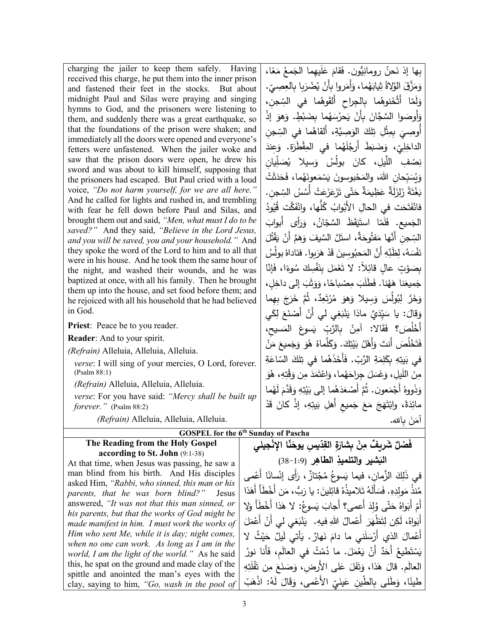| charging the jailer to keep them safely. Having                                                             |  | بِها إذ نَحنُ رومانِيُّون. فَقامَ عَلَيهِما الْجَمعُ مَعًا،                    |  |  |  |
|-------------------------------------------------------------------------------------------------------------|--|--------------------------------------------------------------------------------|--|--|--|
| received this charge, he put them into the inner prison                                                     |  | وَمَزَّقَ الْوُلاةُ ثِيابَهُما، وَأَمَروا بِأَنْ يُضْرَبِا بِالْعِصِيِّ.       |  |  |  |
| and fastened their feet in the stocks. But about<br>midnight Paul and Silas were praying and singing        |  |                                                                                |  |  |  |
| hymns to God, and the prisoners were listening to                                                           |  | وَلَمّا أَثْخَنوهُما بِالْجِراحِ أَلقَوهُما في السِّجنِ،                       |  |  |  |
| them, and suddenly there was a great earthquake, so                                                         |  | وَأُوصَوا السَّجَّانَ بِأَنْ يَحرُسَهُما بِضَبْطٍ. وَهوَ إِذْ                  |  |  |  |
| that the foundations of the prison were shaken; and                                                         |  | أُوصِيَ بِمِثْلِ تِلكَ الوَصِيَّةِ، أَلقاهُما في السِّجن                       |  |  |  |
| immediately all the doors were opened and everyone's                                                        |  | الداخِلِيّ، وَضَبَطَ أَرِجُلَهُما في المِقْطَرَةِ. وَعِندَ                     |  |  |  |
| fetters were unfastened. When the jailer woke and                                                           |  |                                                                                |  |  |  |
| saw that the prison doors were open, he drew his<br>sword and was about to kill himself, supposing that     |  | نِصْفِ اللَّيلِ، كانَ بولُسُ وَسيلا يُصَلِّيان                                 |  |  |  |
| the prisoners had escaped. But Paul cried with a loud                                                       |  | وَيُسَبّحان اللهَ، والمَحْبوسونَ يَسْمَعونَهُما، فَحَدَثَتْ                    |  |  |  |
| voice, "Do not harm yourself, for we are all here."                                                         |  | بَغْتَةً زَلزَلَةٌ عَظِيمَةٌ حَتَّى تَزَعَزَعَتْ أَسُسُ السِّجن.               |  |  |  |
| And he called for lights and rushed in, and trembling                                                       |  | فانْفَتَحَت في الحالِ الأَبْوابُ كُلَّها، وانْفَكَّت قُيُودُ                   |  |  |  |
| with fear he fell down before Paul and Silas, and                                                           |  |                                                                                |  |  |  |
| brought them out and said, "Men, what must I do to be<br>saved?" And they said, "Believe in the Lord Jesus, |  | الجَميع. فَلَمّا استَيَقَظَ السَّجّانُ، وَرَأَى أَبوابَ                        |  |  |  |
| and you will be saved, you and your household." And                                                         |  | السِّجنِ أَنَّها مَفْتُوحَةٌ، استَلَّ السَّيفَ وَهَمَّ أَنْ يَقْتُلَ           |  |  |  |
| they spoke the word of the Lord to him and to all that                                                      |  | نَفْسَهُ، لِظَنِّهِ أَنَّ المَحبُوسينَ قَدْ هَرَبوا . فنَاداهُ بولُسُ          |  |  |  |
| were in his house. And he took them the same hour of<br>the night, and washed their wounds, and he was      |  | بِصَوْتٍ عالِ قائِلاً: لا تَعْمَل بِنَفْسِكَ سُوءًا، فَإِنَّا                  |  |  |  |
| baptized at once, with all his family. Then he brought                                                      |  | جَميعَنا هَهُنا. فَطَلَبَ مِصْباحًا، وَوَثَبَ إلى داخِلِ،                      |  |  |  |
| them up into the house, and set food before them; and                                                       |  | وَخَرَّ لِبُولَسَ وَسِيلاً وَهوَ مُرْتَعِدٌ، ثُمَّ خَرَجَ بِهِما               |  |  |  |
| he rejoiced with all his household that he had believed<br>in God.                                          |  |                                                                                |  |  |  |
| Priest: Peace be to you reader.                                                                             |  | وَقالَ: يا سَيِّدَيَّ ماذا يَنْبَغِي لي أَنْ أَصْنَعَ لِكَي                    |  |  |  |
| Reader: And to your spirit.                                                                                 |  | أَخْلُصَ؟ فَقَالا: آمِنْ بِالرَّبِّ يَسوعَ المَسيح،                            |  |  |  |
| (Refrain) Alleluia, Alleluia, Alleluia.                                                                     |  | فَتَخْلُصَ أَنتَ وَأَهْلُ بَيْتِكَ. وَكَلَّماهُ هُوَ وَجَميعَ مَنْ             |  |  |  |
| verse: I will sing of your mercies, O Lord, forever.                                                        |  | في بَيتِهِ بِكَلِمَةِ الرَّبِّ. فَأَخَذَهُما في تِلكَ السّاعَةِ                |  |  |  |
| (Psalm 88:1)                                                                                                |  | مِنَ اللَّيلِ، وَغَسَلَ جِراحَهُما، وَاعْتَمَدَ مِن وَقْتِهِ، هُوَ             |  |  |  |
| (Refrain) Alleluia, Alleluia, Alleluia.                                                                     |  | وَذَووهُ أَجْمَعون. ثُمَّ أَصْعَدَهُما إِلَى بَيْتِهِ وَقَدَّمَ لَهُما         |  |  |  |
| verse: For you have said: "Mercy shall be built up                                                          |  |                                                                                |  |  |  |
| forever." (Psalm 88:2)                                                                                      |  | مائِدَةً، وابْتَهَجَ مَعَ جَميع أَهلِ بَيتِهِ، إذْ كانَ قَدْ                   |  |  |  |
| (Refrain) Alleluia, Alleluia, Alleluia.                                                                     |  | أَمَنَ بِالله.                                                                 |  |  |  |
| <b>GOSPEL</b> for the 6 <sup>th</sup> Sunday of Pascha                                                      |  |                                                                                |  |  |  |
| The Reading from the Holy Gospel                                                                            |  | فَصْلٌ شَرِيفٌ مِنْ بِشارَةِ القِدّيسِ يوحَنّا الإِنْجِيلي                     |  |  |  |
| according to St. John (9:1-38)<br>At that time, when Jesus was passing, he saw a                            |  | البَشير والتلميذِ الطاهِرِ (1:9-38)                                            |  |  |  |
| man blind from his birth. And His disciples                                                                 |  | في ذَلِكَ الزَّمانِ، فيما يَسوعُ مُجْتازٌ ، رَأَى إنْسانًا أَعْمى              |  |  |  |
| asked Him, "Rabbi, who sinned, this man or his                                                              |  |                                                                                |  |  |  |
| parents, that he was born blind?"<br>Jesus                                                                  |  | مُنذُ مَولِدِهِ. فَسَأَلَهُ تَلاميذُهُ قائِلينَ: يا رَبُّ، مَن أَخْطَأَ أَهَذا |  |  |  |
| answered, "It was not that this man sinned, or                                                              |  | أَمْ أَبَواهُ حَتّى وُلِدَ أَعمى؟ أَجابَ يَسوعُ: لا هَذا أَخْطَأ وَلا          |  |  |  |
| his parents, but that the works of God might be                                                             |  | أَبَواهُ، لَكِن لِتَظْهَرَ أَعْمالُ اللهِ فيهِ. ۖ يَنْبَغي لَمِي أَنْ أَعْمَلَ |  |  |  |
| made manifest in him. I must work the works of<br>Him who sent Me, while it is day; night comes,            |  |                                                                                |  |  |  |
| when no one can work. As long as I am in the                                                                |  | أَعْمالَ الذي أَرْسَلَني ما دامَ نَهارٌ . يَأْتي لَيلٌ حَيْثُ لا               |  |  |  |
| world, I am the light of the world." As he said                                                             |  | يَسْتَطْيعُ أَحَدٌ أَنْ يَعْمَلَ. ما دُمْتُ في العالَم، فَأَنا نورُ            |  |  |  |
| this, he spat on the ground and made clay of the                                                            |  | العالَم. قالَ هَذا، وَتَفَلَ عَلَى الأرض، وَصَنَعَ مِن تَفْلَتِهِ              |  |  |  |
| spittle and anointed the man's eyes with the<br>clay, saying to him, "Go, wash in the pool of               |  | طينًا، وَطَلى بِالطَّين عَينَيّ الأعْمى، وَقَالَ لَهُ: اذْهَبْ                 |  |  |  |
|                                                                                                             |  |                                                                                |  |  |  |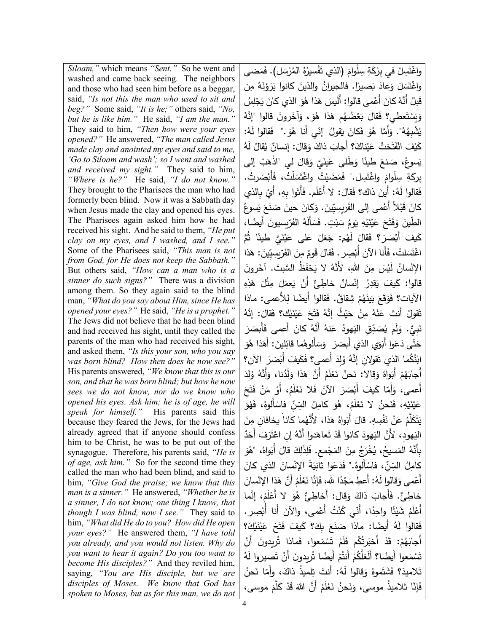*Siloam,"* which means *"Sent."* So he went and washed and came back seeing. The neighbors and those who had seen him before as a beggar, said, *"Is not this the man who used to sit and beg?"* Some said, *"It is he;"* others said, *"No, but he is like him."* He said, *"I am the man."* They said to him, *"Then how were your eyes opened?"* He answered, *"The man called Jesus made clay and anointed my eyes and said to me, 'Go to Siloam and wash'; so I went and washed and received my sight."* They said to him, *"Where is he?"* He said, *"I do not know."* They brought to the Pharisees the man who had formerly been blind. Now it was a Sabbath day when Jesus made the clay and opened his eyes. The Pharisees again asked him how he had received his sight. And he said to them, *"He put clay on my eyes, and I washed, and I see."* Some of the Pharisees said, *"This man is not from God, for He does not keep the Sabbath."* But others said, *"How can a man who is a sinner do such signs?"* There was a division among them. So they again said to the blind man, *"What do you say about Him, since He has opened your eyes?"* He said, *"He is a prophet."* The Jews did not believe that he had been blind and had received his sight, until they called the parents of the man who had received his sight, and asked them, *"Is this your son, who you say was born blind? How then does he now see?"* His parents answered, *"We know that this is our son, and that he was born blind; but how he now sees we do not know, nor do we know who opened his eyes. Ask him; he is of age, he will speak for himself."* His parents said this because they feared the Jews, for the Jews had already agreed that if anyone should confess him to be Christ, he was to be put out of the synagogue. Therefore, his parents said, *"He is of age, ask him."* So for the second time they called the man who had been blind, and said to him, *"Give God the praise; we know that this man is a sinner."* He answered, *"Whether he is a sinner, I do not know; one thing I know, that though I was blind, now I see."* They said to him, *"What did He do to you? How did He open your eyes?"* He answered them, *"I have told you already, and you would not listen. Why do you want to hear it again? Do you too want to become His disciples?"* And they reviled him, saying, *"You are His disciple, but we are disciples of Moses. We know that God has spoken to Moses, but as for this man, we do not* 

واغْتَسِلْ في بِرْكَةِ سِلْوامَ (الذي تَفْسيرُهُ المُرْسَل). فَمَضى<br>موسيق َ واغْتَسَلَ وَعادَ بَصيرًا. فالجيرانُ والذينَ كانوا يَرَوْنَهُ مِن<br>مستَقِيد ْ قَبلُ أَنَّهُ كانَ أَعْمى قالوا: أَلَيسَ هَذا هُوَ الذي كانَ يَجْلِسُ<br>-ֺ<u>֓</u> وَيَسْتَعطي؟ فَقالَ بَعْضُهُم هَذا هُوَ، وَأَخَرونَ قالوا "إِنَّهُ َ يُشْدِِهُهُ". وَأَمَّا هُوَ فَكانَ يَقولُ "إِنِّي أَنا هُوَ ." فَقالوا لَهُ:<br>. كَيْفَ انْفَتَحَتْ عَيْناكَ؟ أَجابَ ذاكَ وَقالَ: إنسانٌ يُقالُ لَهُ<br>م ْ إلى َب َ ْ لي "اذه َقال َ َّي و َین َ َطلى ع ًا و َ طین َ نع ،ُ ص َسوع � بِرِكَةِ سِلْوامَ واغْتَسِل." فَمَضَيْتُ واغْتَمَلْتُ، فَأَبْصَرتُ.<br>مَسْسَفَعْ فَقالوا لَهُ: أَينَ ذاك؟ فَقالَ: لا أَعْلَم. فَأَتَوا بِهِ، أَيْ بِالذي كانَ قَبْلاً أَعْمى إلى الفَريسِيِّينَ. وَكانَ حينَ صَنَعَ يَسوعُ<br>-َ أَ ً �ضا، ّ�سیون َر ُ الف َه َ أَل َس ٍت. ف ب َ ُ س َوم ِ ی ْه � َ ن ی َ َ ع َح َت ف َ َ و الطین ّ .<br>. ْ كَيفَ أَبْصَرَ؟ فَقَالَ لَهُم: جَعَلَ عَلَى عَيْنَيَّ طَينًا ثُمَّ<br>مسمود الصَّائِف **ٔ** اغْتَسَلتُ، فَأَنا الآنَ أُبْصِر . فَقالَ قَومٌ مِنَ الفَرّيسِيّينَ: هَذا<br>. **:** الإِنْسانُ لَيْسَ مِنَ اللهِ، لأَنَّهُ لا يَحْفَظُ السَّبتَ. آخَرونَ قالوا: كَيفَ يَقدِرُ إنْسانٌ خاطِئٌ أَنْ يَعمَلَ مِثْلَ هَذِهِ<br>-الآيات؟ فَوَقَعَ بَينَهُمْ شِقاقٌ. فَقالوا أَيضًا لِلأَعمى: ماذا<br>مستقى التفاتي تَقولُ أَنتَ عَنْهُ مِنْ حَيْثُ إِنَّهُ فَتَحَ عَيْنَيْكِ؟ فَقالَ: إِنَّهُ ْ َنبِيٌّ. وَلَم يُصَدِّقِ الْيَهوِدُ عَنهُ أَنَّهُ كانَ أَعمى فَأَبصَرَ َ حَتّى دَعَوا أَبَوَي الذي أَبصَرَ ۖ وَسَأَلُوهُما قائِلينَ: أَهَذا هُوَ<br>مُمْسِمَعَتُ اللهَ َ ابْنُكُما الذي تَقولانِ إنَّهُ وُلِدَ أَعمى؟ فَكَيفَ أَبْصَرَ الآن؟<br>أَ أَجابَهُمْ أَبَواهُ وَقالاً: نَحنُ نَعْلَمُ أَنَّ هَذا وَلَدُنا، وَأَنَّهُ وُلِدَ<br>ءَ ْ أَعمى، وَأَمَّا كَيفَ أَبْصَرَ الْأَنَ فَلا نَعْلَمُ، أَوْ مَنْ فَتَحَ ْ عَيْنَيْهِ، فَنَحنُ لا نَعْلَمُ، هُوَ كامِلُ السِّنِّ فاسْأَلوهُ، فَهُوَ<br>حَيَّةٌ ْ ِ<br>ِ ْ َ :<br>-يَتَكَلَّمُ عَنْ نَفْسِهِ. قالَ أَبَواهُ هَذا، لأَنَّهُما كاناً يخافانِ مِنَ<br>. َبَا .<br>ا الیَهودِ، لأَنَّ الیَهودَ كانوا قَدْ تَعاهَدوا أَنَّهُ إنِ اعْتَرَفَ أَحَدٌّ<br>ءَ بِأَنَّهُ المَسيحُ، يُخْرَجُ مِنَ المَجْمعِ. فَلِذَلِكَ قالَ أَبَواهُ، "هُوَ كامِلُ السِّنِّ، فاسْأَلوهُ." فَدَعَوا ثَانِيَةً الإِنْسانَ الذي كانَ<br>أ َ ْسان َذا الإن ُ أَ َّن ه َم ل َع َ َّإنا ن ًا �، ف ْد َج :ُ أَ ِعط م َه َقالوا ل ْمى و أَع ْ خاطِئٌ. فَأَجابَ ذاكَ وَقال: أَخاطِئٌ هُوَ لا أَعْلَمُ، إِنَّما<br>فَيَضَعَفُونَ أَعْلَمُ شَيْئًا واحِدًا، أَنّي كُنْتُ أَعْمى، والآنَ أَنا أُبْصِر.<br>مَسَيَمَا أَعْلَمُ الْمَسْمَدِينَ .<br>. **ٔ** فَقالوا لَهُ أَيضًا: ماذا صَنَعَ بِكَ؟ كَيفَ فَتَحَ عَيْنَيْكَ؟<br>\* ْ <u>ّ</u> أَجابَهُمْ: قَدْ أَخبَرتُكُم فَلَمْ تَسْمَعوا، فَماذا تُريدونَ أَنْ<br>مستقى الله عليه الله عليه الله عليه الله عليه الله عليه الله عليه الله عليه الله عليه الله عليه الله عليه الله تَسْمَعوا أَيضًا؟ أَلَعَلَّكُمْ أَنتُمْ أَيضًا تُريدونَ أَنْ تَصيروا لَهُ تَلامیذ؟ فَشَتَموهُ وَقالوا لَهُ: أَنتَ تِلمیذُ ذاكَ، وأَمّا نَحنُ<br>حَصَبَتْ فَإِنَّا تَلاميذُ موسى، وَنَحنُ نَعْلَمُ أَنَّ اللهَ قَدْ كَلَّمَ موسى، ْ